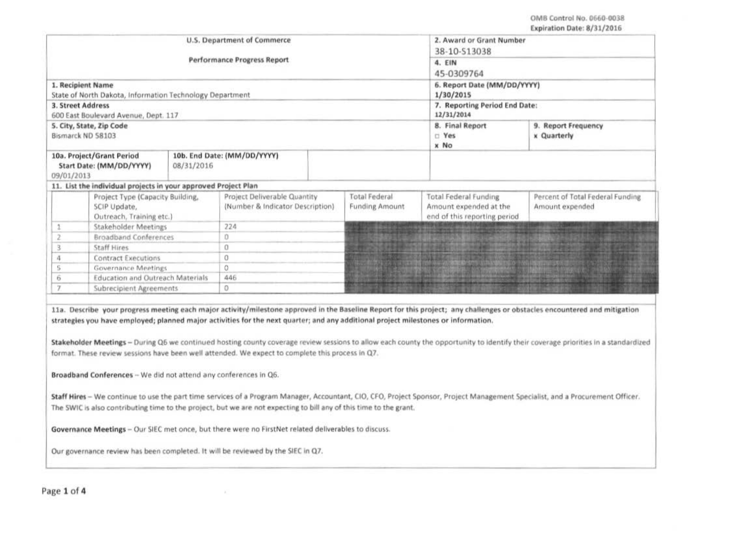|                |                                                                | U.S. Department of Commerce | 2. Award or Grant Number<br>38-10-513038<br>4. EIN<br>45-0309764 |                       |                                                                                                                |                                  |  |  |
|----------------|----------------------------------------------------------------|-----------------------------|------------------------------------------------------------------|-----------------------|----------------------------------------------------------------------------------------------------------------|----------------------------------|--|--|
|                |                                                                | Performance Progress Report |                                                                  |                       |                                                                                                                |                                  |  |  |
|                |                                                                |                             |                                                                  |                       |                                                                                                                |                                  |  |  |
|                | 1. Recipient Name                                              |                             | 6. Report Date (MM/DD/YYYY)                                      |                       |                                                                                                                |                                  |  |  |
|                | State of North Dakota, Information Technology Department       |                             | 1/30/2015                                                        |                       |                                                                                                                |                                  |  |  |
|                | <b>3. Street Address</b>                                       |                             | 7. Reporting Period End Date:                                    |                       |                                                                                                                |                                  |  |  |
|                | 600 East Boulevard Avenue, Dept. 117                           |                             |                                                                  |                       | 12/31/2014                                                                                                     |                                  |  |  |
|                | 5. City, State, Zip Code                                       |                             |                                                                  |                       | 8. Final Report                                                                                                | 9. Report Frequency              |  |  |
|                | Bismarck ND 58103                                              |                             |                                                                  |                       | $E$ Yes                                                                                                        | x Quarterly                      |  |  |
|                |                                                                |                             |                                                                  |                       | x No                                                                                                           |                                  |  |  |
|                | 10a. Project/Grant Period                                      |                             | 10b. End Date: (MM/DD/YYYY)                                      |                       |                                                                                                                |                                  |  |  |
|                | Start Date: (MM/DD/YYYY)                                       | 08/31/2016                  |                                                                  |                       |                                                                                                                |                                  |  |  |
| 09/01/2013     | 11. List the individual projects in your approved Project Plan |                             |                                                                  |                       |                                                                                                                |                                  |  |  |
|                |                                                                |                             | Project Deliverable Quantity                                     | <b>Total Federal</b>  | <b>Total Federal Funding</b>                                                                                   | Percent of Total Federal Funding |  |  |
|                | Project Type (Capacity Building,<br>SCIP Update,               |                             | (Number & Indicator Description)                                 | <b>Funding Amount</b> | Amount expended at the                                                                                         | Amount expended                  |  |  |
|                | Outreach, Training etc.)                                       |                             |                                                                  |                       | end of this reporting period                                                                                   |                                  |  |  |
|                | <b>Stakeholder Meetings</b>                                    |                             | 224                                                              |                       | THE CALIFORNIA AND COMPANY MORE WARD AT A 2001                                                                 |                                  |  |  |
|                | <b>Broadband Conferences</b>                                   |                             | 0                                                                |                       | The model and the company of the company of the company of                                                     |                                  |  |  |
| 3              | <b>Staff Hires</b>                                             |                             | 0                                                                |                       | <u> 1999 - Johann John Barbon, martin b</u>                                                                    |                                  |  |  |
| 4              | Contract Executions                                            |                             | 0                                                                |                       | <b>March 1999 - Arrivan American American Arrivan</b>                                                          |                                  |  |  |
| 5              | <b>Governance Meetings</b>                                     |                             | 0                                                                |                       | All of the contribution of the contribution of the contribution of the contribution of the contribution of the |                                  |  |  |
| 6              | <b>Education and Outreach Materials</b>                        |                             | 446                                                              |                       |                                                                                                                |                                  |  |  |
| $\overline{ }$ | Subrecipient Agreements                                        |                             | 0                                                                |                       |                                                                                                                |                                  |  |  |

Staff Hires - We continue to use the part time services of a Program Manager, Accountant, CIO, CFO, Project Sponsor, Project Management Specialist, and a Procurement Officer. The SWIC is also contributing time to the project, but we are not expecting to bill any of this time to the grant.

Governance Meetings - Our SIEC met once, but there were no FirstNet related deliverables to discuss.

Our governance review has been completed. It will be reviewed by the SIEC in Q7.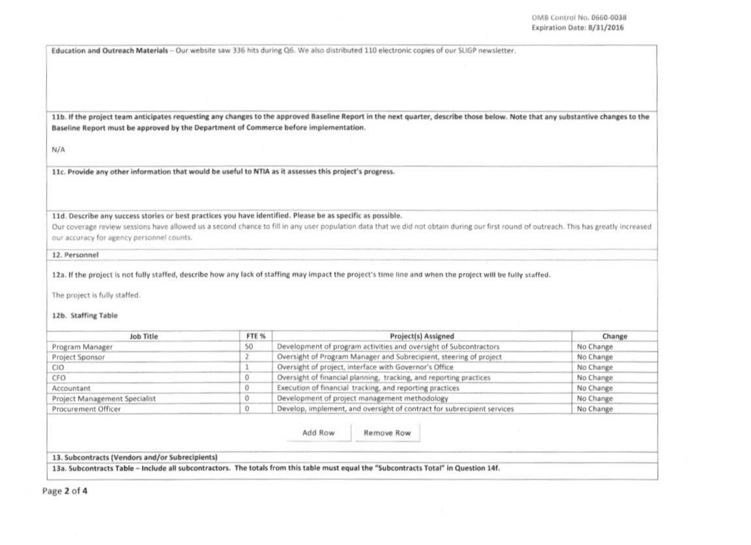Education and Outreach Materials - Our website saw 336 hits during Q6. We also distributed 110 electronic copies of our SLIGP newsletter.

11b. If the project team anticipates requesting any changes to the approved Baseline Report in the next quarter, describe those below. Note that any substantive changes to the Baseline Report must be approved by the Department of Commerce before implementation.

 $N/A$ 

11c. Provide any other information that would be useful to NTIA as it assesses this project's progress.

11d. Describe any success stories or best practices you have identified. Please be as specific as possible.

Our coverage review sessions have allowed us a second chance to fill in any user population data that we did not obtain during our first round of outreach. This has greatly increased our accuracy for agency personnel counts.

12. Personnel

12a. If the project is not fully staffed, describe how any lack of staffing may impact the project's time line and when the project will be fully staffed.

The project is fully staffed.

12b. Staffing Table

| Job Title                     | FTE % | <b>Project(s) Assigned</b>                                              | Change    |  |
|-------------------------------|-------|-------------------------------------------------------------------------|-----------|--|
| Program Manager               | 50    | Development of program activities and oversight of Subcontractors       | No Change |  |
| Project Sponsor               |       | Oversight of Program Manager and Subrecipient, steering of project      | No Change |  |
| CЮ                            |       | Oversight of project, interface with Governor's Office                  | No Change |  |
| CFO <sup></sup>               |       | Oversight of financial planning, tracking, and reporting practices      | No Change |  |
| Accountant                    |       | Execution of financial tracking, and reporting practices                | No Change |  |
| Project Management Specialist |       | Development of project management methodology                           | No Change |  |
| Procurement Officer           |       | Develop, implement, and oversight of contract for subrecipient services | No Change |  |

Add Row Remove Row

13. Subcontracts (Vendors and/or Subrecipients)

13a. Subcontracts Table - Include all subcontractors. The totals from this table must equal the "Subcontracts Total" in Question 14f.

Page 2 of 4